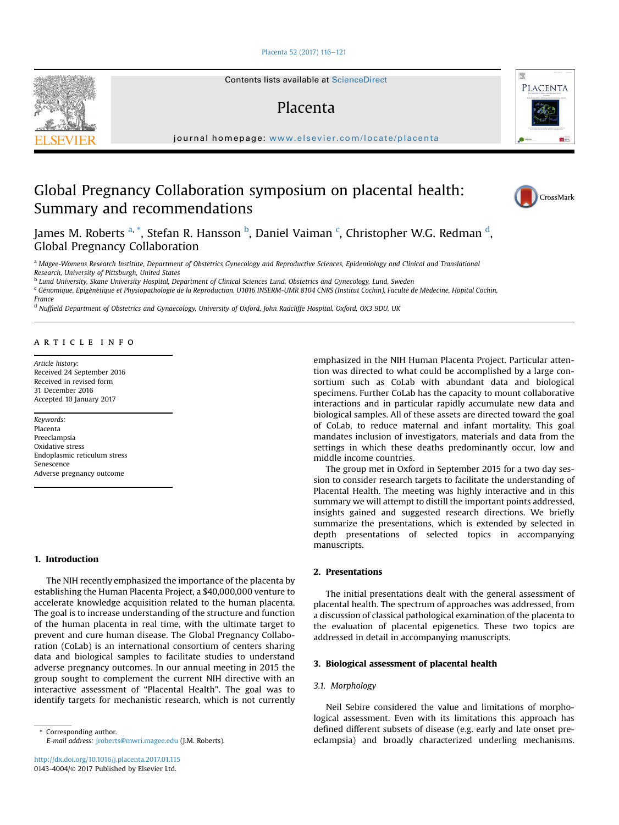### [Placenta 52 \(2017\) 116](http://dx.doi.org/10.1016/j.placenta.2017.01.115)-[121](http://dx.doi.org/10.1016/j.placenta.2017.01.115)

Contents lists available at ScienceDirect

# Placenta

journal homepage: [www.elsevier.com/locate/placenta](http://www.elsevier.com/locate/placenta)

# Global Pregnancy Collaboration symposium on placental health: Summary and recommendations



PLACENTA

James M. Roberts <sup>a, \*</sup>, Stefan R. Hansson <sup>b</sup>, Daniel Vaiman <sup>c</sup>, Christopher W.G. Redman <sup>d</sup>, Global Pregnancy Collaboration

a Magee-Womens Research Institute, Department of Obstetrics Gynecology and Reproductive Sciences, Epidemiology and Clinical and Translational Research, University of Pittsburgh, United States

<sup>b</sup> Lund University, Skane University Hospital, Department of Clinical Sciences Lund, Obstetrics and Gynecology, Lund, Sweden

<sup>c</sup> Génomique, Epigénétique et Physiopathologie de la Reproduction, U1016 INSERM-UMR 8104 CNRS (Institut Cochin), Faculté de Médecine, Hôpital Cochin,

France

<sup>d</sup> Nuffield Department of Obstetrics and Gynaecology, University of Oxford, John Radcliffe Hospital, Oxford, OX3 9DU, UK

## article info

Article history: Received 24 September 2016 Received in revised form 31 December 2016 Accepted 10 January 2017

Keywords: Placenta Preeclampsia Oxidative stress Endoplasmic reticulum stress Senescence Adverse pregnancy outcome

#### 1. Introduction

The NIH recently emphasized the importance of the placenta by establishing the Human Placenta Project, a \$40,000,000 venture to accelerate knowledge acquisition related to the human placenta. The goal is to increase understanding of the structure and function of the human placenta in real time, with the ultimate target to prevent and cure human disease. The Global Pregnancy Collaboration (CoLab) is an international consortium of centers sharing data and biological samples to facilitate studies to understand adverse pregnancy outcomes. In our annual meeting in 2015 the group sought to complement the current NIH directive with an interactive assessment of "Placental Health". The goal was to identify targets for mechanistic research, which is not currently

\* Corresponding author. E-mail address: [jroberts@mwri.magee.edu](mailto:jroberts@mwri.magee.edu) (J.M. Roberts). emphasized in the NIH Human Placenta Project. Particular attention was directed to what could be accomplished by a large consortium such as CoLab with abundant data and biological specimens. Further CoLab has the capacity to mount collaborative interactions and in particular rapidly accumulate new data and biological samples. All of these assets are directed toward the goal of CoLab, to reduce maternal and infant mortality. This goal mandates inclusion of investigators, materials and data from the settings in which these deaths predominantly occur, low and middle income countries.

The group met in Oxford in September 2015 for a two day session to consider research targets to facilitate the understanding of Placental Health. The meeting was highly interactive and in this summary we will attempt to distill the important points addressed, insights gained and suggested research directions. We briefly summarize the presentations, which is extended by selected in depth presentations of selected topics in accompanying manuscripts.

## 2. Presentations

The initial presentations dealt with the general assessment of placental health. The spectrum of approaches was addressed, from a discussion of classical pathological examination of the placenta to the evaluation of placental epigenetics. These two topics are addressed in detail in accompanying manuscripts.

#### 3. Biological assessment of placental health

#### 3.1. Morphology

Neil Sebire considered the value and limitations of morphological assessment. Even with its limitations this approach has defined different subsets of disease (e.g. early and late onset preeclampsia) and broadly characterized underling mechanisms.

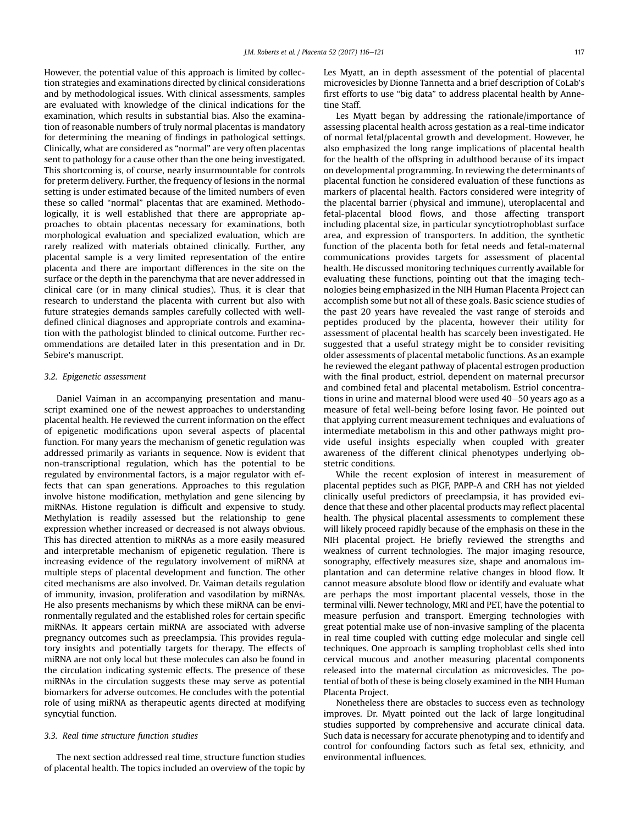However, the potential value of this approach is limited by collection strategies and examinations directed by clinical considerations and by methodological issues. With clinical assessments, samples are evaluated with knowledge of the clinical indications for the examination, which results in substantial bias. Also the examination of reasonable numbers of truly normal placentas is mandatory for determining the meaning of findings in pathological settings. Clinically, what are considered as "normal" are very often placentas sent to pathology for a cause other than the one being investigated. This shortcoming is, of course, nearly insurmountable for controls for preterm delivery. Further, the frequency of lesions in the normal setting is under estimated because of the limited numbers of even these so called "normal" placentas that are examined. Methodologically, it is well established that there are appropriate approaches to obtain placentas necessary for examinations, both morphological evaluation and specialized evaluation, which are rarely realized with materials obtained clinically. Further, any placental sample is a very limited representation of the entire placenta and there are important differences in the site on the surface or the depth in the parenchyma that are never addressed in clinical care (or in many clinical studies). Thus, it is clear that research to understand the placenta with current but also with future strategies demands samples carefully collected with welldefined clinical diagnoses and appropriate controls and examination with the pathologist blinded to clinical outcome. Further recommendations are detailed later in this presentation and in Dr. Sebire's manuscript.

#### 3.2. Epigenetic assessment

Daniel Vaiman in an accompanying presentation and manuscript examined one of the newest approaches to understanding placental health. He reviewed the current information on the effect of epigenetic modifications upon several aspects of placental function. For many years the mechanism of genetic regulation was addressed primarily as variants in sequence. Now is evident that non-transcriptional regulation, which has the potential to be regulated by environmental factors, is a major regulator with effects that can span generations. Approaches to this regulation involve histone modification, methylation and gene silencing by miRNAs. Histone regulation is difficult and expensive to study. Methylation is readily assessed but the relationship to gene expression whether increased or decreased is not always obvious. This has directed attention to miRNAs as a more easily measured and interpretable mechanism of epigenetic regulation. There is increasing evidence of the regulatory involvement of miRNA at multiple steps of placental development and function. The other cited mechanisms are also involved. Dr. Vaiman details regulation of immunity, invasion, proliferation and vasodilation by miRNAs. He also presents mechanisms by which these miRNA can be environmentally regulated and the established roles for certain specific miRNAs. It appears certain miRNA are associated with adverse pregnancy outcomes such as preeclampsia. This provides regulatory insights and potentially targets for therapy. The effects of miRNA are not only local but these molecules can also be found in the circulation indicating systemic effects. The presence of these miRNAs in the circulation suggests these may serve as potential biomarkers for adverse outcomes. He concludes with the potential role of using miRNA as therapeutic agents directed at modifying syncytial function.

#### 3.3. Real time structure function studies

The next section addressed real time, structure function studies of placental health. The topics included an overview of the topic by Les Myatt, an in depth assessment of the potential of placental microvesicles by Dionne Tannetta and a brief description of CoLab's first efforts to use "big data" to address placental health by Annetine Staff.

Les Myatt began by addressing the rationale/importance of assessing placental health across gestation as a real-time indicator of normal fetal/placental growth and development. However, he also emphasized the long range implications of placental health for the health of the offspring in adulthood because of its impact on developmental programming. In reviewing the determinants of placental function he considered evaluation of these functions as markers of placental health. Factors considered were integrity of the placental barrier (physical and immune), uteroplacental and fetal-placental blood flows, and those affecting transport including placental size, in particular syncytiotrophoblast surface area, and expression of transporters. In addition, the synthetic function of the placenta both for fetal needs and fetal-maternal communications provides targets for assessment of placental health. He discussed monitoring techniques currently available for evaluating these functions, pointing out that the imaging technologies being emphasized in the NIH Human Placenta Project can accomplish some but not all of these goals. Basic science studies of the past 20 years have revealed the vast range of steroids and peptides produced by the placenta, however their utility for assessment of placental health has scarcely been investigated. He suggested that a useful strategy might be to consider revisiting older assessments of placental metabolic functions. As an example he reviewed the elegant pathway of placental estrogen production with the final product, estriol, dependent on maternal precursor and combined fetal and placental metabolism. Estriol concentrations in urine and maternal blood were used  $40-50$  years ago as a measure of fetal well-being before losing favor. He pointed out that applying current measurement techniques and evaluations of intermediate metabolism in this and other pathways might provide useful insights especially when coupled with greater awareness of the different clinical phenotypes underlying obstetric conditions.

While the recent explosion of interest in measurement of placental peptides such as PlGF, PAPP-A and CRH has not yielded clinically useful predictors of preeclampsia, it has provided evidence that these and other placental products may reflect placental health. The physical placental assessments to complement these will likely proceed rapidly because of the emphasis on these in the NIH placental project. He briefly reviewed the strengths and weakness of current technologies. The major imaging resource, sonography, effectively measures size, shape and anomalous implantation and can determine relative changes in blood flow. It cannot measure absolute blood flow or identify and evaluate what are perhaps the most important placental vessels, those in the terminal villi. Newer technology, MRI and PET, have the potential to measure perfusion and transport. Emerging technologies with great potential make use of non-invasive sampling of the placenta in real time coupled with cutting edge molecular and single cell techniques. One approach is sampling trophoblast cells shed into cervical mucous and another measuring placental components released into the maternal circulation as microvesicles. The potential of both of these is being closely examined in the NIH Human Placenta Project.

Nonetheless there are obstacles to success even as technology improves. Dr. Myatt pointed out the lack of large longitudinal studies supported by comprehensive and accurate clinical data. Such data is necessary for accurate phenotyping and to identify and control for confounding factors such as fetal sex, ethnicity, and environmental influences.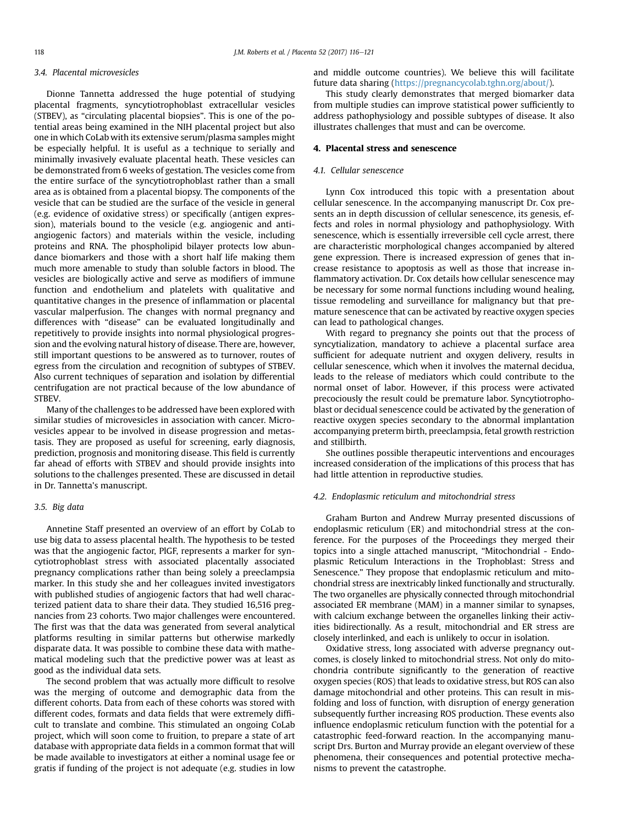#### 3.4. Placental microvesicles

Dionne Tannetta addressed the huge potential of studying placental fragments, syncytiotrophoblast extracellular vesicles (STBEV), as "circulating placental biopsies". This is one of the potential areas being examined in the NIH placental project but also one in which CoLab with its extensive serum/plasma samples might be especially helpful. It is useful as a technique to serially and minimally invasively evaluate placental heath. These vesicles can be demonstrated from 6 weeks of gestation. The vesicles come from the entire surface of the syncytiotrophoblast rather than a small area as is obtained from a placental biopsy. The components of the vesicle that can be studied are the surface of the vesicle in general (e.g. evidence of oxidative stress) or specifically (antigen expression), materials bound to the vesicle (e.g. angiogenic and antiangiogenic factors) and materials within the vesicle, including proteins and RNA. The phospholipid bilayer protects low abundance biomarkers and those with a short half life making them much more amenable to study than soluble factors in blood. The vesicles are biologically active and serve as modifiers of immune function and endothelium and platelets with qualitative and quantitative changes in the presence of inflammation or placental vascular malperfusion. The changes with normal pregnancy and differences with "disease" can be evaluated longitudinally and repetitively to provide insights into normal physiological progression and the evolving natural history of disease. There are, however, still important questions to be answered as to turnover, routes of egress from the circulation and recognition of subtypes of STBEV. Also current techniques of separation and isolation by differential centrifugation are not practical because of the low abundance of STBEV.

Many of the challenges to be addressed have been explored with similar studies of microvesicles in association with cancer. Microvesicles appear to be involved in disease progression and metastasis. They are proposed as useful for screening, early diagnosis, prediction, prognosis and monitoring disease. This field is currently far ahead of efforts with STBEV and should provide insights into solutions to the challenges presented. These are discussed in detail in Dr. Tannetta's manuscript.

### 3.5. Big data

Annetine Staff presented an overview of an effort by CoLab to use big data to assess placental health. The hypothesis to be tested was that the angiogenic factor, PlGF, represents a marker for syncytiotrophoblast stress with associated placentally associated pregnancy complications rather than being solely a preeclampsia marker. In this study she and her colleagues invited investigators with published studies of angiogenic factors that had well characterized patient data to share their data. They studied 16,516 pregnancies from 23 cohorts. Two major challenges were encountered. The first was that the data was generated from several analytical platforms resulting in similar patterns but otherwise markedly disparate data. It was possible to combine these data with mathematical modeling such that the predictive power was at least as good as the individual data sets.

The second problem that was actually more difficult to resolve was the merging of outcome and demographic data from the different cohorts. Data from each of these cohorts was stored with different codes, formats and data fields that were extremely difficult to translate and combine. This stimulated an ongoing CoLab project, which will soon come to fruition, to prepare a state of art database with appropriate data fields in a common format that will be made available to investigators at either a nominal usage fee or gratis if funding of the project is not adequate (e.g. studies in low and middle outcome countries). We believe this will facilitate future data sharing (<https://pregnancycolab.tghn.org/about/>).

This study clearly demonstrates that merged biomarker data from multiple studies can improve statistical power sufficiently to address pathophysiology and possible subtypes of disease. It also illustrates challenges that must and can be overcome.

#### 4. Placental stress and senescence

#### 4.1. Cellular senescence

Lynn Cox introduced this topic with a presentation about cellular senescence. In the accompanying manuscript Dr. Cox presents an in depth discussion of cellular senescence, its genesis, effects and roles in normal physiology and pathophysiology. With senescence, which is essentially irreversible cell cycle arrest, there are characteristic morphological changes accompanied by altered gene expression. There is increased expression of genes that increase resistance to apoptosis as well as those that increase inflammatory activation. Dr. Cox details how cellular senescence may be necessary for some normal functions including wound healing, tissue remodeling and surveillance for malignancy but that premature senescence that can be activated by reactive oxygen species can lead to pathological changes.

With regard to pregnancy she points out that the process of syncytialization, mandatory to achieve a placental surface area sufficient for adequate nutrient and oxygen delivery, results in cellular senescence, which when it involves the maternal decidua, leads to the release of mediators which could contribute to the normal onset of labor. However, if this process were activated precociously the result could be premature labor. Syncytiotrophoblast or decidual senescence could be activated by the generation of reactive oxygen species secondary to the abnormal implantation accompanying preterm birth, preeclampsia, fetal growth restriction and stillbirth.

She outlines possible therapeutic interventions and encourages increased consideration of the implications of this process that has had little attention in reproductive studies.

#### 4.2. Endoplasmic reticulum and mitochondrial stress

Graham Burton and Andrew Murray presented discussions of endoplasmic reticulum (ER) and mitochondrial stress at the conference. For the purposes of the Proceedings they merged their topics into a single attached manuscript, "Mitochondrial - Endoplasmic Reticulum Interactions in the Trophoblast: Stress and Senescence." They propose that endoplasmic reticulum and mitochondrial stress are inextricably linked functionally and structurally. The two organelles are physically connected through mitochondrial associated ER membrane (MAM) in a manner similar to synapses, with calcium exchange between the organelles linking their activities bidirectionally. As a result, mitochondrial and ER stress are closely interlinked, and each is unlikely to occur in isolation.

Oxidative stress, long associated with adverse pregnancy outcomes, is closely linked to mitochondrial stress. Not only do mitochondria contribute significantly to the generation of reactive oxygen species (ROS) that leads to oxidative stress, but ROS can also damage mitochondrial and other proteins. This can result in misfolding and loss of function, with disruption of energy generation subsequently further increasing ROS production. These events also influence endoplasmic reticulum function with the potential for a catastrophic feed-forward reaction. In the accompanying manuscript Drs. Burton and Murray provide an elegant overview of these phenomena, their consequences and potential protective mechanisms to prevent the catastrophe.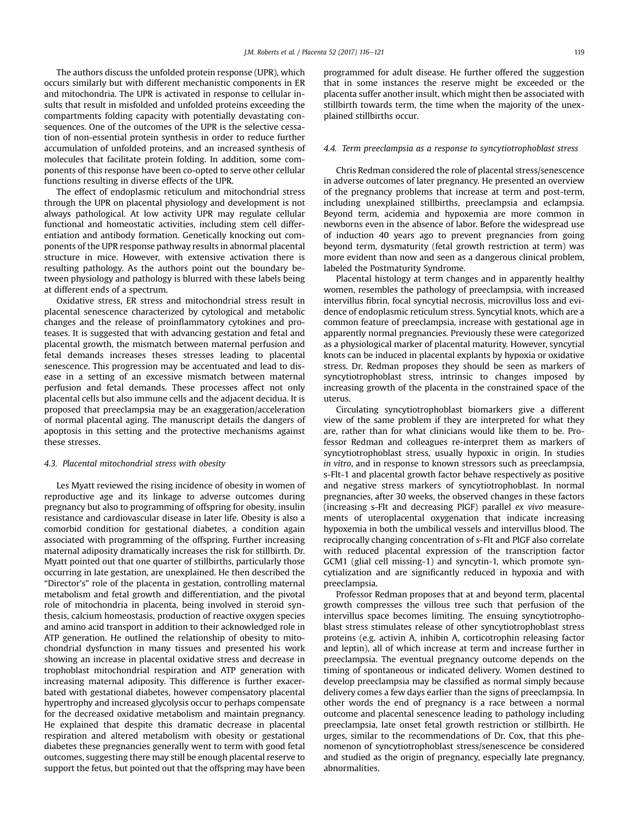The authors discuss the unfolded protein response (UPR), which occurs similarly but with different mechanistic components in ER and mitochondria. The UPR is activated in response to cellular insults that result in misfolded and unfolded proteins exceeding the compartments folding capacity with potentially devastating consequences. One of the outcomes of the UPR is the selective cessation of non-essential protein synthesis in order to reduce further accumulation of unfolded proteins, and an increased synthesis of molecules that facilitate protein folding. In addition, some components of this response have been co-opted to serve other cellular functions resulting in diverse effects of the UPR.

The effect of endoplasmic reticulum and mitochondrial stress through the UPR on placental physiology and development is not always pathological. At low activity UPR may regulate cellular functional and homeostatic activities, including stem cell differentiation and antibody formation. Genetically knocking out components of the UPR response pathway results in abnormal placental structure in mice. However, with extensive activation there is resulting pathology. As the authors point out the boundary between physiology and pathology is blurred with these labels being at different ends of a spectrum.

Oxidative stress, ER stress and mitochondrial stress result in placental senescence characterized by cytological and metabolic changes and the release of proinflammatory cytokines and proteases. It is suggested that with advancing gestation and fetal and placental growth, the mismatch between maternal perfusion and fetal demands increases theses stresses leading to placental senescence. This progression may be accentuated and lead to disease in a setting of an excessive mismatch between maternal perfusion and fetal demands. These processes affect not only placental cells but also immune cells and the adjacent decidua. It is proposed that preeclampsia may be an exaggeration/acceleration of normal placental aging. The manuscript details the dangers of apoptosis in this setting and the protective mechanisms against these stresses.

#### 4.3. Placental mitochondrial stress with obesity

Les Myatt reviewed the rising incidence of obesity in women of reproductive age and its linkage to adverse outcomes during pregnancy but also to programming of offspring for obesity, insulin resistance and cardiovascular disease in later life. Obesity is also a comorbid condition for gestational diabetes, a condition again associated with programming of the offspring. Further increasing maternal adiposity dramatically increases the risk for stillbirth. Dr. Myatt pointed out that one quarter of stillbirths, particularly those occurring in late gestation, are unexplained. He then described the "Director's" role of the placenta in gestation, controlling maternal metabolism and fetal growth and differentiation, and the pivotal role of mitochondria in placenta, being involved in steroid synthesis, calcium homeostasis, production of reactive oxygen species and amino acid transport in addition to their acknowledged role in ATP generation. He outlined the relationship of obesity to mitochondrial dysfunction in many tissues and presented his work showing an increase in placental oxidative stress and decrease in trophoblast mitochondrial respiration and ATP generation with increasing maternal adiposity. This difference is further exacerbated with gestational diabetes, however compensatory placental hypertrophy and increased glycolysis occur to perhaps compensate for the decreased oxidative metabolism and maintain pregnancy. He explained that despite this dramatic decrease in placental respiration and altered metabolism with obesity or gestational diabetes these pregnancies generally went to term with good fetal outcomes, suggesting there may still be enough placental reserve to support the fetus, but pointed out that the offspring may have been

programmed for adult disease. He further offered the suggestion that in some instances the reserve might be exceeded or the placenta suffer another insult, which might then be associated with stillbirth towards term, the time when the majority of the unexplained stillbirths occur.

#### 4.4. Term preeclampsia as a response to syncytiotrophoblast stress

Chris Redman considered the role of placental stress/senescence in adverse outcomes of later pregnancy. He presented an overview of the pregnancy problems that increase at term and post-term, including unexplained stillbirths, preeclampsia and eclampsia. Beyond term, acidemia and hypoxemia are more common in newborns even in the absence of labor. Before the widespread use of induction 40 years ago to prevent pregnancies from going beyond term, dysmaturity (fetal growth restriction at term) was more evident than now and seen as a dangerous clinical problem, labeled the Postmaturity Syndrome.

Placental histology at term changes and in apparently healthy women, resembles the pathology of preeclampsia, with increased intervillus fibrin, focal syncytial necrosis, microvillus loss and evidence of endoplasmic reticulum stress. Syncytial knots, which are a common feature of preeclampsia, increase with gestational age in apparently normal pregnancies. Previously these were categorized as a physiological marker of placental maturity. However, syncytial knots can be induced in placental explants by hypoxia or oxidative stress. Dr. Redman proposes they should be seen as markers of syncytiotrophoblast stress, intrinsic to changes imposed by increasing growth of the placenta in the constrained space of the uterus.

Circulating syncytiotrophoblast biomarkers give a different view of the same problem if they are interpreted for what they are, rather than for what clinicians would like them to be. Professor Redman and colleagues re-interpret them as markers of syncytiotrophoblast stress, usually hypoxic in origin. In studies in vitro, and in response to known stressors such as preeclampsia, s-Flt-1 and placental growth factor behave respectively as positive and negative stress markers of syncytiotrophoblast. In normal pregnancies, after 30 weeks, the observed changes in these factors (increasing s-Flt and decreasing PlGF) parallel ex vivo measurements of uteroplacental oxygenation that indicate increasing hypoxemia in both the umbilical vessels and intervillus blood. The reciprocally changing concentration of s-Flt and PlGF also correlate with reduced placental expression of the transcription factor GCM1 (glial cell missing-1) and syncytin-1, which promote syncytialization and are significantly reduced in hypoxia and with preeclampsia.

Professor Redman proposes that at and beyond term, placental growth compresses the villous tree such that perfusion of the intervillus space becomes limiting. The ensuing syncytiotrophoblast stress stimulates release of other syncytiotrophoblast stress proteins (e.g. activin A, inhibin A, corticotrophin releasing factor and leptin), all of which increase at term and increase further in preeclampsia. The eventual pregnancy outcome depends on the timing of spontaneous or indicated delivery. Women destined to develop preeclampsia may be classified as normal simply because delivery comes a few days earlier than the signs of preeclampsia. In other words the end of pregnancy is a race between a normal outcome and placental senescence leading to pathology including preeclampsia, late onset fetal growth restriction or stillbirth. He urges, similar to the recommendations of Dr. Cox, that this phenomenon of syncytiotrophoblast stress/senescence be considered and studied as the origin of pregnancy, especially late pregnancy, abnormalities.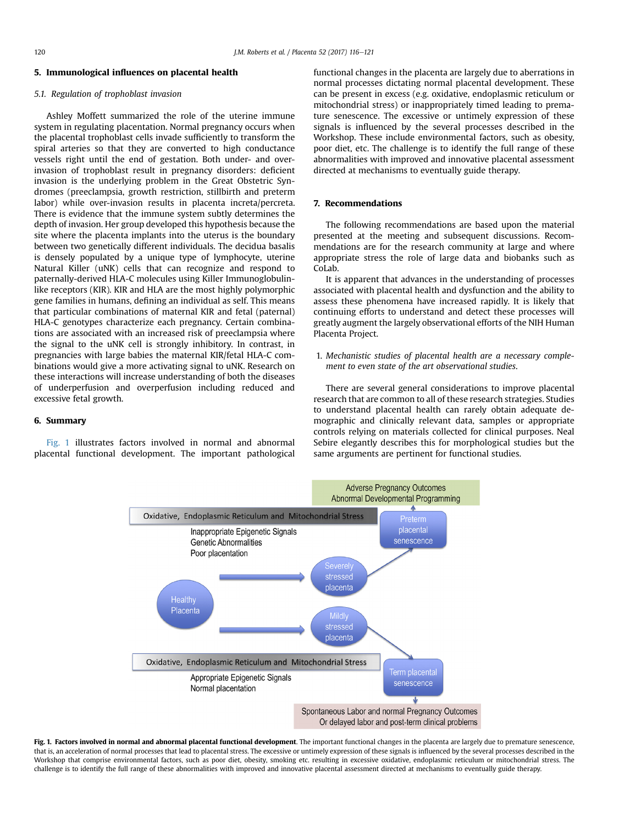#### 5. Immunological influences on placental health

## 5.1. Regulation of trophoblast invasion

Ashley Moffett summarized the role of the uterine immune system in regulating placentation. Normal pregnancy occurs when the placental trophoblast cells invade sufficiently to transform the spiral arteries so that they are converted to high conductance vessels right until the end of gestation. Both under- and overinvasion of trophoblast result in pregnancy disorders: deficient invasion is the underlying problem in the Great Obstetric Syndromes (preeclampsia, growth restriction, stillbirth and preterm labor) while over-invasion results in placenta increta/percreta. There is evidence that the immune system subtly determines the depth of invasion. Her group developed this hypothesis because the site where the placenta implants into the uterus is the boundary between two genetically different individuals. The decidua basalis is densely populated by a unique type of lymphocyte, uterine Natural Killer (uNK) cells that can recognize and respond to paternally-derived HLA-C molecules using Killer Immunoglobulinlike receptors (KIR). KIR and HLA are the most highly polymorphic gene families in humans, defining an individual as self. This means that particular combinations of maternal KIR and fetal (paternal) HLA-C genotypes characterize each pregnancy. Certain combinations are associated with an increased risk of preeclampsia where the signal to the uNK cell is strongly inhibitory. In contrast, in pregnancies with large babies the maternal KIR/fetal HLA-C combinations would give a more activating signal to uNK. Research on these interactions will increase understanding of both the diseases of underperfusion and overperfusion including reduced and excessive fetal growth.

## 6. Summary

Fig. 1 illustrates factors involved in normal and abnormal placental functional development. The important pathological functional changes in the placenta are largely due to aberrations in normal processes dictating normal placental development. These can be present in excess (e.g. oxidative, endoplasmic reticulum or mitochondrial stress) or inappropriately timed leading to premature senescence. The excessive or untimely expression of these signals is influenced by the several processes described in the Workshop. These include environmental factors, such as obesity, poor diet, etc. The challenge is to identify the full range of these abnormalities with improved and innovative placental assessment directed at mechanisms to eventually guide therapy.

## 7. Recommendations

The following recommendations are based upon the material presented at the meeting and subsequent discussions. Recommendations are for the research community at large and where appropriate stress the role of large data and biobanks such as CoLab.

It is apparent that advances in the understanding of processes associated with placental health and dysfunction and the ability to assess these phenomena have increased rapidly. It is likely that continuing efforts to understand and detect these processes will greatly augment the largely observational efforts of the NIH Human Placenta Project.

1. Mechanistic studies of placental health are a necessary complement to even state of the art observational studies.

There are several general considerations to improve placental research that are common to all of these research strategies. Studies to understand placental health can rarely obtain adequate demographic and clinically relevant data, samples or appropriate controls relying on materials collected for clinical purposes. Neal Sebire elegantly describes this for morphological studies but the same arguments are pertinent for functional studies.



Fig. 1. Factors involved in normal and abnormal placental functional development. The important functional changes in the placenta are largely due to premature senescence, that is, an acceleration of normal processes that lead to placental stress. The excessive or untimely expression of these signals is influenced by the several processes described in the Workshop that comprise environmental factors, such as poor diet, obesity, smoking etc. resulting in excessive oxidative, endoplasmic reticulum or mitochondrial stress. The challenge is to identify the full range of these abnormalities with improved and innovative placental assessment directed at mechanisms to eventually guide therapy.